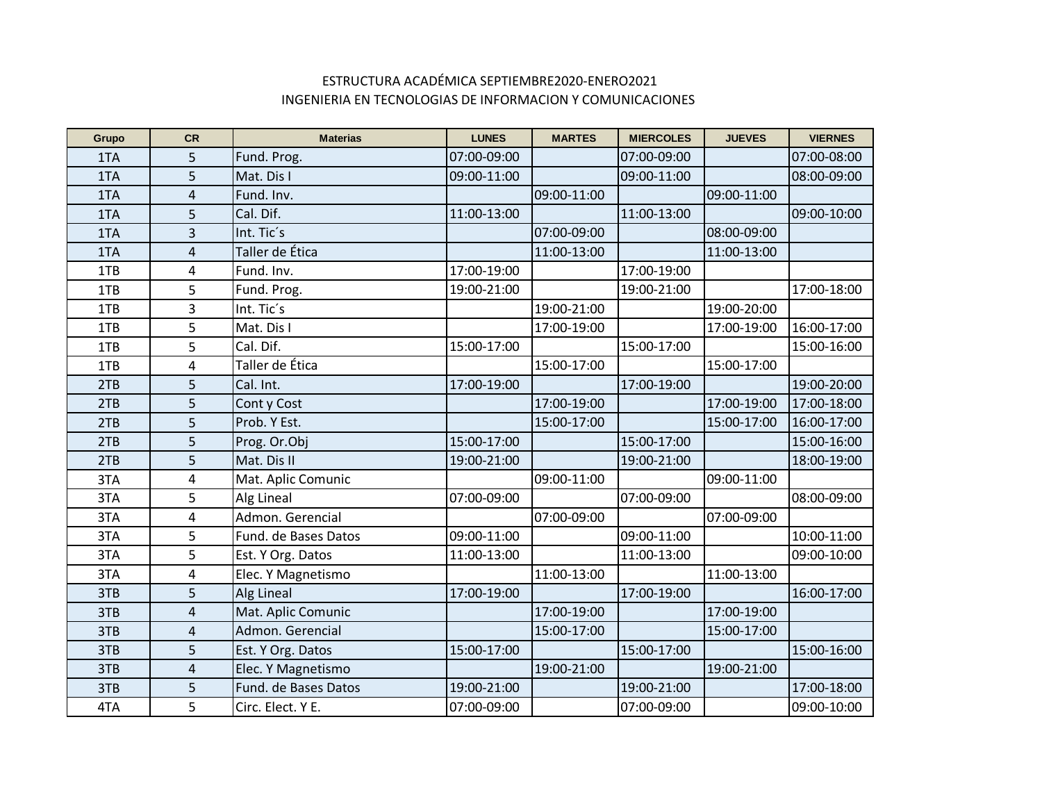## ESTRUCTURA ACADÉMICA SEPTIEMBRE2020-ENERO2021 INGENIERIA EN TECNOLOGIAS DE INFORMACION Y COMUNICACIONES

| Grupo | <b>CR</b>               | <b>Materias</b>      | <b>LUNES</b> | <b>MARTES</b> | <b>MIERCOLES</b> | <b>JUEVES</b> | <b>VIERNES</b> |
|-------|-------------------------|----------------------|--------------|---------------|------------------|---------------|----------------|
| 1TA   | 5                       | Fund. Prog.          | 07:00-09:00  |               | 07:00-09:00      |               | 07:00-08:00    |
| 1TA   | 5                       | Mat. Dis I           | 09:00-11:00  |               | 09:00-11:00      |               | 08:00-09:00    |
| 1TA   | 4                       | Fund. Inv.           |              | 09:00-11:00   |                  | 09:00-11:00   |                |
| 1TA   | 5                       | Cal. Dif.            | 11:00-13:00  |               | 11:00-13:00      |               | 09:00-10:00    |
| 1TA   | 3                       | Int. Tic's           |              | 07:00-09:00   |                  | 08:00-09:00   |                |
| 1TA   | 4                       | Taller de Ética      |              | 11:00-13:00   |                  | 11:00-13:00   |                |
| 1TB   | 4                       | Fund. Inv.           | 17:00-19:00  |               | 17:00-19:00      |               |                |
| 1TB   | 5                       | Fund. Prog.          | 19:00-21:00  |               | 19:00-21:00      |               | 17:00-18:00    |
| 1TB   | 3                       | Int. Tic's           |              | 19:00-21:00   |                  | 19:00-20:00   |                |
| 1TB   | 5                       | Mat. Dis I           |              | 17:00-19:00   |                  | 17:00-19:00   | 16:00-17:00    |
| 1TB   | 5                       | Cal. Dif.            | 15:00-17:00  |               | 15:00-17:00      |               | 15:00-16:00    |
| 1TB   | 4                       | Taller de Ética      |              | 15:00-17:00   |                  | 15:00-17:00   |                |
| 2TB   | 5                       | Cal. Int.            | 17:00-19:00  |               | 17:00-19:00      |               | 19:00-20:00    |
| 2TB   | 5                       | Cont y Cost          |              | 17:00-19:00   |                  | 17:00-19:00   | 17:00-18:00    |
| 2TB   | 5                       | Prob. Y Est.         |              | 15:00-17:00   |                  | 15:00-17:00   | 16:00-17:00    |
| 2TB   | 5                       | Prog. Or.Obj         | 15:00-17:00  |               | 15:00-17:00      |               | 15:00-16:00    |
| 2TB   | 5                       | Mat. Dis II          | 19:00-21:00  |               | 19:00-21:00      |               | 18:00-19:00    |
| 3TA   | 4                       | Mat. Aplic Comunic   |              | 09:00-11:00   |                  | 09:00-11:00   |                |
| 3TA   | 5                       | Alg Lineal           | 07:00-09:00  |               | 07:00-09:00      |               | 08:00-09:00    |
| 3TA   | 4                       | Admon. Gerencial     |              | 07:00-09:00   |                  | 07:00-09:00   |                |
| 3TA   | 5                       | Fund. de Bases Datos | 09:00-11:00  |               | 09:00-11:00      |               | 10:00-11:00    |
| 3TA   | 5                       | Est. Y Org. Datos    | 11:00-13:00  |               | 11:00-13:00      |               | 09:00-10:00    |
| 3TA   | 4                       | Elec. Y Magnetismo   |              | 11:00-13:00   |                  | 11:00-13:00   |                |
| 3TB   | 5                       | Alg Lineal           | 17:00-19:00  |               | 17:00-19:00      |               | 16:00-17:00    |
| 3TB   | $\overline{\mathbf{r}}$ | Mat. Aplic Comunic   |              | 17:00-19:00   |                  | 17:00-19:00   |                |
| 3TB   | $\overline{4}$          | Admon. Gerencial     |              | 15:00-17:00   |                  | 15:00-17:00   |                |
| 3TB   | 5                       | Est. Y Org. Datos    | 15:00-17:00  |               | 15:00-17:00      |               | 15:00-16:00    |
| 3TB   | 4                       | Elec. Y Magnetismo   |              | 19:00-21:00   |                  | 19:00-21:00   |                |
| 3TB   | 5                       | Fund. de Bases Datos | 19:00-21:00  |               | 19:00-21:00      |               | 17:00-18:00    |
| 4TA   | 5                       | Circ. Elect. Y E.    | 07:00-09:00  |               | 07:00-09:00      |               | 09:00-10:00    |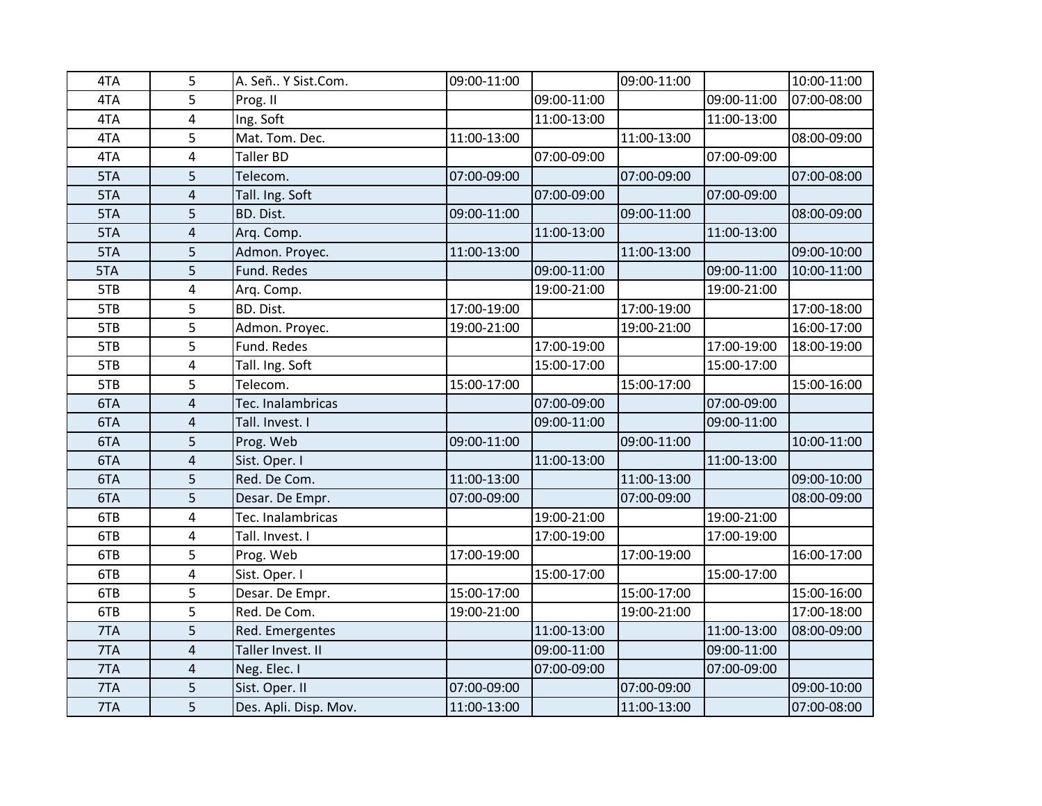| 4TA | 5                       | A. Señ Y Sist.Com.    | 09:00-11:00 |             | 09:00-11:00 |             | 10:00-11:00 |
|-----|-------------------------|-----------------------|-------------|-------------|-------------|-------------|-------------|
| 4TA | 5                       | Prog. II              |             | 09:00-11:00 |             | 09:00-11:00 | 07:00-08:00 |
| 4TA | 4                       | Ing. Soft             |             | 11:00-13:00 |             | 11:00-13:00 |             |
| 4TA | 5                       | Mat. Tom. Dec.        | 11:00-13:00 |             | 11:00-13:00 |             | 08:00-09:00 |
| 4TA | 4                       | Taller BD             |             | 07:00-09:00 |             | 07:00-09:00 |             |
| 5TA | 5                       | Telecom.              | 07:00-09:00 |             | 07:00-09:00 |             | 07:00-08:00 |
| 5TA | $\overline{4}$          | Tall. Ing. Soft       |             | 07:00-09:00 |             | 07:00-09:00 |             |
| 5TA | 5                       | BD. Dist.             | 09:00-11:00 |             | 09:00-11:00 |             | 08:00-09:00 |
| 5TA | $\overline{4}$          | Arq. Comp.            |             | 11:00-13:00 |             | 11:00-13:00 |             |
| 5TA | 5                       | Admon. Proyec.        | 11:00-13:00 |             | 11:00-13:00 |             | 09:00-10:00 |
| 5TA | 5                       | Fund. Redes           |             | 09:00-11:00 |             | 09:00-11:00 | 10:00-11:00 |
| 5TB | $\overline{4}$          | Arq. Comp.            |             | 19:00-21:00 |             | 19:00-21:00 |             |
| 5TB | 5                       | BD. Dist.             | 17:00-19:00 |             | 17:00-19:00 |             | 17:00-18:00 |
| 5TB | 5                       | Admon. Proyec.        | 19:00-21:00 |             | 19:00-21:00 |             | 16:00-17:00 |
| 5TB | 5                       | Fund. Redes           |             | 17:00-19:00 |             | 17:00-19:00 | 18:00-19:00 |
| 5TB | 4                       | Tall. Ing. Soft       |             | 15:00-17:00 |             | 15:00-17:00 |             |
| 5TB | 5                       | Telecom.              | 15:00-17:00 |             | 15:00-17:00 |             | 15:00-16:00 |
| 6TA | $\overline{4}$          | Tec. Inalambricas     |             | 07:00-09:00 |             | 07:00-09:00 |             |
| 6TA | $\overline{4}$          | Tall. Invest. I       |             | 09:00-11:00 |             | 09:00-11:00 |             |
| 6TA | 5                       | Prog. Web             | 09:00-11:00 |             | 09:00-11:00 |             | 10:00-11:00 |
| 6TA | $\overline{\mathbf{4}}$ | Sist. Oper. I         |             | 11:00-13:00 |             | 11:00-13:00 |             |
| 6TA | 5                       | Red. De Com.          | 11:00-13:00 |             | 11:00-13:00 |             | 09:00-10:00 |
| 6TA | 5                       | Desar. De Empr.       | 07:00-09:00 |             | 07:00-09:00 |             | 08:00-09:00 |
| 6TB | 4                       | Tec. Inalambricas     |             | 19:00-21:00 |             | 19:00-21:00 |             |
| 6TB | $\overline{\mathbf{4}}$ | Tall. Invest. I       |             | 17:00-19:00 |             | 17:00-19:00 |             |
| 6TB | 5                       | Prog. Web             | 17:00-19:00 |             | 17:00-19:00 |             | 16:00-17:00 |
| 6TB | 4                       | Sist. Oper. I         |             | 15:00-17:00 |             | 15:00-17:00 |             |
| 6TB | 5                       | Desar. De Empr.       | 15:00-17:00 |             | 15:00-17:00 |             | 15:00-16:00 |
| 6TB | 5                       | Red. De Com.          | 19:00-21:00 |             | 19:00-21:00 |             | 17:00-18:00 |
| 7TA | 5                       | Red. Emergentes       |             | 11:00-13:00 |             | 11:00-13:00 | 08:00-09:00 |
| 7TA | $\overline{4}$          | Taller Invest. II     |             | 09:00-11:00 |             | 09:00-11:00 |             |
| 7TA | 4                       | Neg. Elec. I          |             | 07:00-09:00 |             | 07:00-09:00 |             |
| 7TA | 5                       | Sist. Oper. II        | 07:00-09:00 |             | 07:00-09:00 |             | 09:00-10:00 |
| 7TA | 5                       | Des. Apli. Disp. Mov. | 11:00-13:00 |             | 11:00-13:00 |             | 07:00-08:00 |